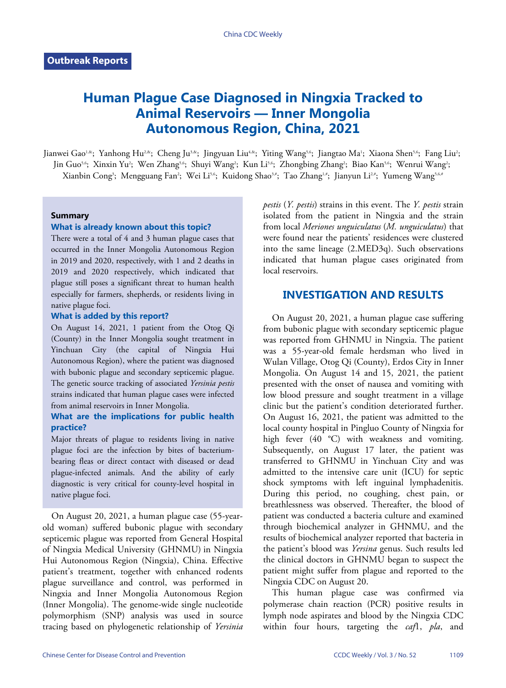# **Human Plague Case Diagnosed in Ningxia Tracked to Animal Reservoirs — Inner Mongolia Autonomous Region, China, 2021**

Jianwei Gao'<sup>.&</sup>; Yanhong Hu<sup>2,&</sup>; Cheng Ju<sup>3,&</sup>; Jingyuan Liu<sup>4,&</sup>; Yiting Wang<sup>5,6</sup>; Jiangtao Ma'; Xiaona Shen<sup>5,6</sup>; Fang Liu<sup>2</sup>; Jin Guo<sup>5.6</sup>; Xinxin Yu²; Wen Zhang<sup>5.6</sup>; Shuyi Wang<sup>2</sup>; Kun Li<sup>5.6</sup>; Zhongbing Zhang<sup>2</sup>; Biao Kan<sup>5.6</sup>; Wenrui Wang<sup>2</sup>; Xianbin Cong<sup>3</sup>; Mengguang Fan<sup>2</sup>; Wei Li<sup>5,6</sup>; Kuidong Shao<sup>3,#</sup>; Tao Zhang<sup>1,#</sup>; Jianyun Li<sup>2,#</sup>; Yumeng Wang<sup>5,6,4</sup>

#### **Summary**

### **What is already known about this topic?**

There were a total of 4 and 3 human plague cases that occurred in the Inner Mongolia Autonomous Region in 2019 and 2020, respectively, with 1 and 2 deaths in 2019 and 2020 respectively, which indicated that plague still poses a significant threat to human health especially for farmers, shepherds, or residents living in native plague foci.

#### **What is added by this report?**

On August 14, 2021, 1 patient from the Otog Qi (County) in the Inner Mongolia sought treatment in Yinchuan City (the capital of Ningxia Hui Autonomous Region), where the patient was diagnosed with bubonic plague and secondary septicemic plague. The genetic source tracking of associated *Yersinia pestis* strains indicated that human plague cases were infected from animal reservoirs in Inner Mongolia.

### **What are the implications for public health practice?**

Major threats of plague to residents living in native plague foci are the infection by bites of bacteriumbearing fleas or direct contact with diseased or dead plague-infected animals. And the ability of early diagnostic is very critical for county-level hospital in native plague foci.

On August 20, 2021, a human plague case (55-yearold woman) suffered bubonic plague with secondary septicemic plague was reported from General Hospital of Ningxia Medical University (GHNMU) in Ningxia Hui Autonomous Region (Ningxia), China. Effective patient's treatment, together with enhanced rodents plague surveillance and control, was performed in Ningxia and Inner Mongolia Autonomous Region (Inner Mongolia). The genome-wide single nucleotide polymorphism (SNP) analysis was used in source tracing based on phylogenetic relationship of *Yersinia*

*pestis* (*Y. pestis*) strains in this event. The *Y. pestis* strain isolated from the patient in Ningxia and the strain from local *Meriones unguiculatus* (*M. unguiculatus*) that were found near the patients' residences were clustered into the same lineage (2.MED3q). Such observations indicated that human plague cases originated from local reservoirs.

# **INVESTIGATION AND RESULTS**

On August 20, 2021, a human plague case suffering from bubonic plague with secondary septicemic plague was reported from GHNMU in Ningxia. The patient was a 55-year-old female herdsman who lived in Wulan Village, Otog Qi (County), Erdos City in Inner Mongolia. On August 14 and 15, 2021, the patient presented with the onset of nausea and vomiting with low blood pressure and sought treatment in a village clinic but the patient's condition deteriorated further. On August 16, 2021, the patient was admitted to the local county hospital in Pingluo County of Ningxia for high fever (40 °C) with weakness and vomiting. Subsequently, on August 17 later, the patient was transferred to GHNMU in Yinchuan City and was admitted to the intensive care unit (ICU) for septic shock symptoms with left inguinal lymphadenitis. During this period, no coughing, chest pain, or breathlessness was observed. Thereafter, the blood of patient was conducted a bacteria culture and examined through biochemical analyzer in GHNMU, and the results of biochemical analyzer reported that bacteria in the patient's blood was *Yersina* genus. Such results led the clinical doctors in GHNMU began to suspect the patient might suffer from plague and reported to the Ningxia CDC on August 20.

This human plague case was confirmed via polymerase chain reaction (PCR) positive results in lymph node aspirates and blood by the Ningxia CDC within four hours, targeting the *caf*1, *pla*, and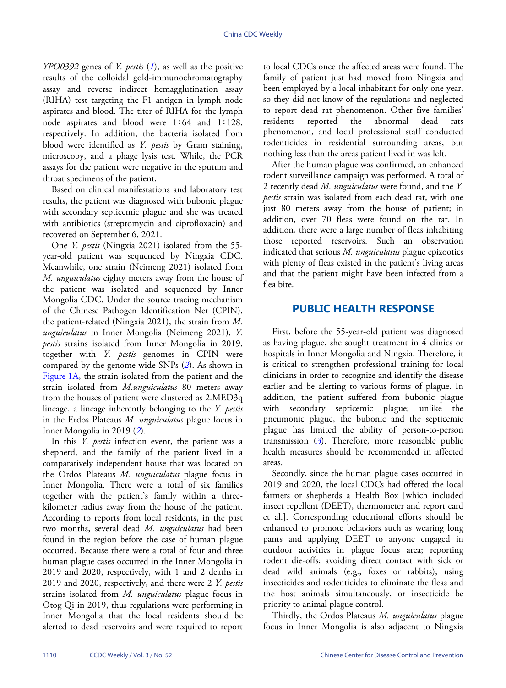*YPO0392* genes of *Y. pestis* (*[1](#page-3-0)*), as well as the positive results of the colloidal gold-immunochromatography assay and reverse indirect hemagglutination assay (RIHA) test targeting the F1 antigen in lymph node aspirates and blood. The titer of RIHA for the lymph node aspirates and blood were 1∶64 and 1∶128, respectively. In addition, the bacteria isolated from blood were identified as *Y. pestis* by Gram staining, microscopy, and a phage lysis test. While, the PCR assays for the patient were negative in the sputum and throat specimens of the patient.

Based on clinical manifestations and laboratory test results, the patient was diagnosed with bubonic plague with secondary septicemic plague and she was treated with antibiotics (streptomycin and ciprofloxacin) and recovered on September 6, 2021.

One *Y. pestis* (Ningxia 2021) isolated from the 55 year-old patient was sequenced by Ningxia CDC. Meanwhile, one strain (Neimeng 2021) isolated from *M. unguiculatus* eighty meters away from the house of the patient was isolated and sequenced by Inner Mongolia CDC. Under the source tracing mechanism of the Chinese Pathogen Identification Net (CPIN), the patient-related (Ningxia 2021), the strain from *M. unguiculatus* in Inner Mongolia (Neimeng 2021), *Y. pestis* strains isolated from Inner Mongolia in 2019, together with *Y. pestis* genomes in CPIN were compared by the genome-wide SNPs (*[2](#page-3-1)*). As shown in [Figure 1A](#page-2-0), the strain isolated from the patient and the strain isolated from *M.unguiculatus* 80 meters away from the houses of patient were clustered as 2.MED3q lineage, a lineage inherently belonging to the *Y. pestis* in the Erdos Plateaus *M. unguiculatus* plague focus in Inner Mongolia in 2019 (*[2](#page-3-1)*).

In this *Y. pestis* infection event, the patient was a shepherd, and the family of the patient lived in a comparatively independent house that was located on the Ordos Plateaus *M. unguiculatus* plague focus in Inner Mongolia. There were a total of six families together with the patient's family within a threekilometer radius away from the house of the patient. According to reports from local residents, in the past two months, several dead *M. unguiculatus* had been found in the region before the case of human plague occurred. Because there were a total of four and three human plague cases occurred in the Inner Mongolia in 2019 and 2020, respectively, with 1 and 2 deaths in 2019 and 2020, respectively, and there were 2 *Y. pestis* strains isolated from *M. unguiculatus* plague focus in Otog Qi in 2019, thus regulations were performing in Inner Mongolia that the local residents should be alerted to dead reservoirs and were required to report

to local CDCs once the affected areas were found. The family of patient just had moved from Ningxia and been employed by a local inhabitant for only one year, so they did not know of the regulations and neglected to report dead rat phenomenon. Other five families' residents reported the abnormal dead rats phenomenon, and local professional staff conducted rodenticides in residential surrounding areas, but nothing less than the areas patient lived in was left.

After the human plague was confirmed, an enhanced rodent surveillance campaign was performed. A total of 2 recently dead *M. unguiculatus* were found, and the *Y. pestis* strain was isolated from each dead rat, with one just 80 meters away from the house of patient; in addition, over 70 fleas were found on the rat. In addition, there were a large number of fleas inhabiting those reported reservoirs. Such an observation indicated that serious *M. unguiculatus* plague epizootics with plenty of fleas existed in the patient's living areas and that the patient might have been infected from a flea bite.

## **PUBLIC HEALTH RESPONSE**

First, before the 55-year-old patient was diagnosed as having plague, she sought treatment in 4 clinics or hospitals in Inner Mongolia and Ningxia. Therefore, it is critical to strengthen professional training for local clinicians in order to recognize and identify the disease earlier and be alerting to various forms of plague. In addition, the patient suffered from bubonic plague with secondary septicemic plague; unlike the pneumonic plague, the bubonic and the septicemic plague has limited the ability of person-to-person transmission (*[3](#page-3-2)*). Therefore, more reasonable public health measures should be recommended in affected areas.

Secondly, since the human plague cases occurred in 2019 and 2020, the local CDCs had offered the local farmers or shepherds a Health Box [which included insect repellent (DEET), thermometer and report card et al.]. Corresponding educational efforts should be enhanced to promote behaviors such as wearing long pants and applying DEET to anyone engaged in outdoor activities in plague focus area; reporting rodent die-offs; avoiding direct contact with sick or dead wild animals (e.g., foxes or rabbits); using insecticides and rodenticides to eliminate the fleas and the host animals simultaneously, or insecticide be priority to animal plague control.

Thirdly, the Ordos Plateaus *M. unguiculatus* plague focus in Inner Mongolia is also adjacent to Ningxia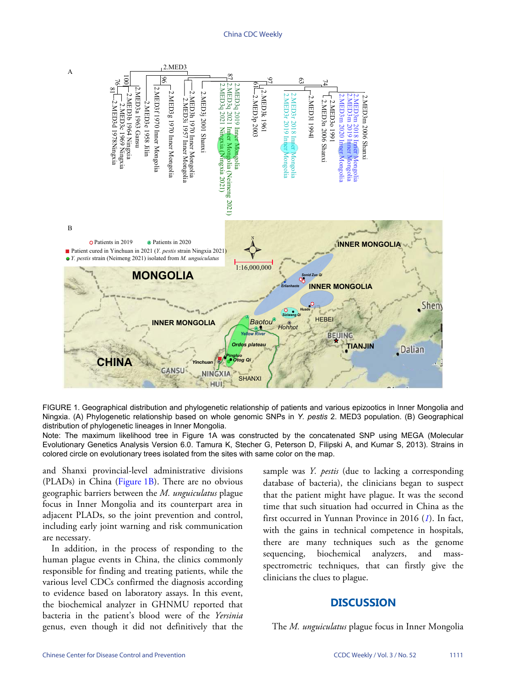#### **China CDC Weekly**

<span id="page-2-0"></span>

FIGURE 1. Geographical distribution and phylogenetic relationship of patients and various epizootics in Inner Mongolia and Ningxia. (A) Phylogenetic relationship based on whole genomic SNPs in Y. pestis 2. MED3 population. (B) Geographical distribution of phylogenetic lineages in Inner Mongolia.

Note: The maximum likelihood tree in Figure 1A was constructed by the concatenated SNP using MEGA (Molecular Evolutionary Genetics Analysis Version 6.0. Tamura K, Stecher G, Peterson D, Filipski A, and Kumar S, 2013). Strains in colored circle on evolutionary trees isolated from the sites with same color on the map.

and Shanxi provincial-level administrative divisions (PLADs) in China (Figure 1B). There are no obvious geographic barriers between the M. unguiculatus plague focus in Inner Mongolia and its counterpart area in adjacent PLADs, so the joint prevention and control, including early joint warning and risk communication are necessary.

In addition, in the process of responding to the human plague events in China, the clinics commonly responsible for finding and treating patients, while the various level CDCs confirmed the diagnosis according to evidence based on laboratory assays. In this event, the biochemical analyzer in GHNMU reported that bacteria in the patient's blood were of the Yersinia genus, even though it did not definitively that the sample was Y. pestis (due to lacking a corresponding database of bacteria), the clinicians began to suspect that the patient might have plague. It was the second time that such situation had occurred in China as the first occurred in Yunnan Province in 2016 (1). In fact, with the gains in technical competence in hospitals, there are many techniques such as the genome biochemical analyzers, sequencing, and massspectrometric techniques, that can firstly give the clinicians the clues to plague.

## **DISCUSSION**

The *M. unguiculatus* plague focus in Inner Mongolia